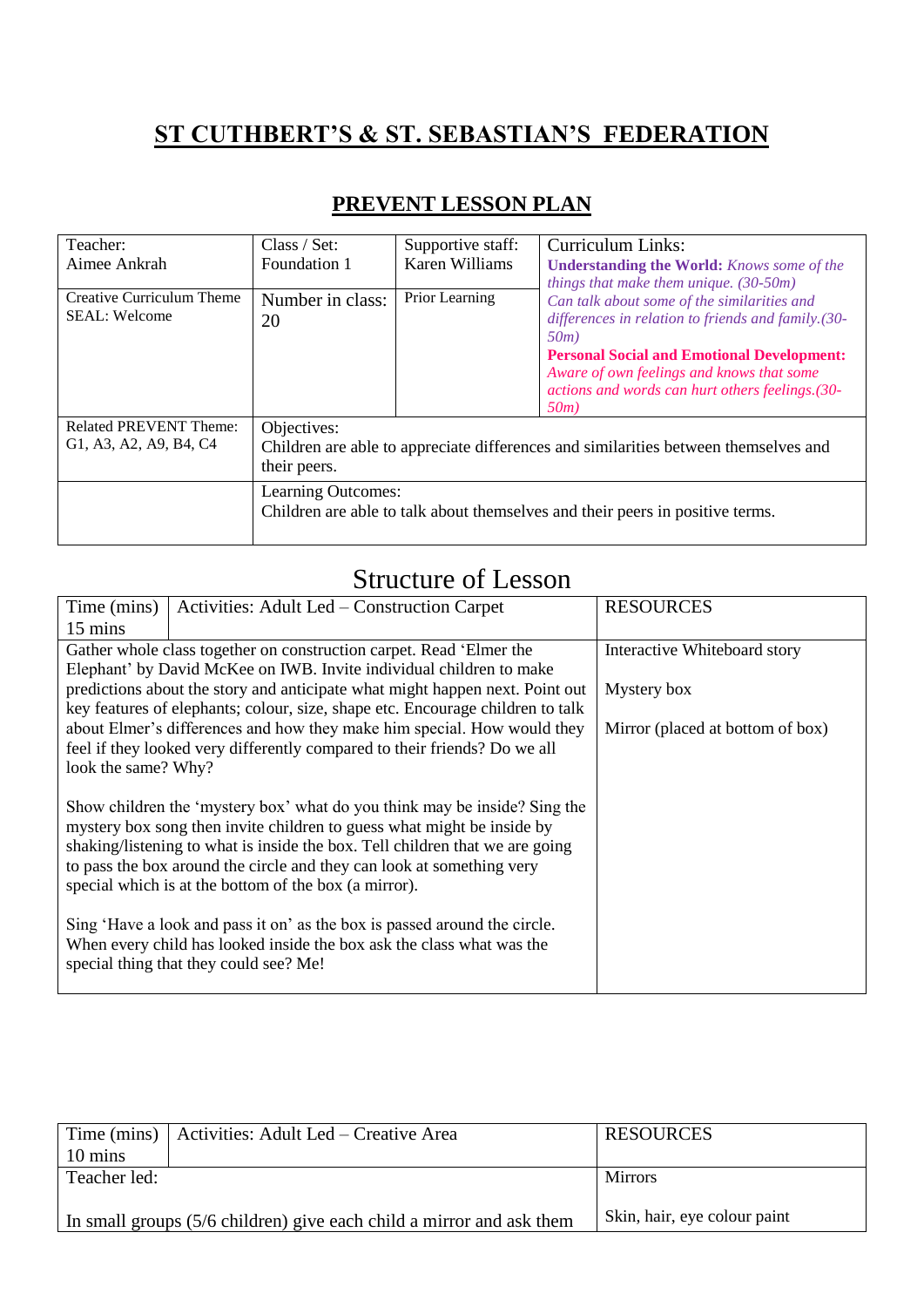## **ST CUTHBERT'S & ST. SEBASTIAN'S FEDERATION**

| Teacher:                                                                                                      | Class / Set:                                                                  | Supportive staff: | <b>Curriculum Links:</b>                                                                      |
|---------------------------------------------------------------------------------------------------------------|-------------------------------------------------------------------------------|-------------------|-----------------------------------------------------------------------------------------------|
| Aimee Ankrah                                                                                                  | Foundation 1                                                                  | Karen Williams    | <b>Understanding the World:</b> Knows some of the                                             |
|                                                                                                               |                                                                               |                   | things that make them unique. $(30-50m)$                                                      |
| Creative Curriculum Theme                                                                                     | Number in class:                                                              | Prior Learning    | Can talk about some of the similarities and                                                   |
| <b>SEAL: Welcome</b>                                                                                          | 20                                                                            |                   | differences in relation to friends and family. (30-                                           |
|                                                                                                               |                                                                               |                   | 50m                                                                                           |
|                                                                                                               |                                                                               |                   | <b>Personal Social and Emotional Development:</b>                                             |
|                                                                                                               |                                                                               |                   | Aware of own feelings and knows that some<br>actions and words can hurt others feelings. (30- |
|                                                                                                               |                                                                               |                   | 50m)                                                                                          |
| <b>Related PREVENT Theme:</b>                                                                                 | Objectives:                                                                   |                   |                                                                                               |
| G1, A3, A2, A9, B4, C4<br>Children are able to appreciate differences and similarities between themselves and |                                                                               |                   |                                                                                               |
|                                                                                                               | their peers.                                                                  |                   |                                                                                               |
|                                                                                                               | Learning Outcomes:                                                            |                   |                                                                                               |
|                                                                                                               | Children are able to talk about themselves and their peers in positive terms. |                   |                                                                                               |
|                                                                                                               |                                                                               |                   |                                                                                               |

## **PREVENT LESSON PLAN**

## Structure of Lesson

| Time (mins)                                                                                                                    | Activities: Adult Led – Construction Carpet                                    | <b>RESOURCES</b>                 |  |
|--------------------------------------------------------------------------------------------------------------------------------|--------------------------------------------------------------------------------|----------------------------------|--|
| 15 mins                                                                                                                        |                                                                                |                                  |  |
|                                                                                                                                | Gather whole class together on construction carpet. Read 'Elmer the            | Interactive Whiteboard story     |  |
|                                                                                                                                | Elephant' by David McKee on IWB. Invite individual children to make            |                                  |  |
|                                                                                                                                | predictions about the story and anticipate what might happen next. Point out   | Mystery box                      |  |
|                                                                                                                                | key features of elephants; colour, size, shape etc. Encourage children to talk |                                  |  |
|                                                                                                                                | about Elmer's differences and how they make him special. How would they        | Mirror (placed at bottom of box) |  |
|                                                                                                                                | feel if they looked very differently compared to their friends? Do we all      |                                  |  |
| look the same? Why?                                                                                                            |                                                                                |                                  |  |
|                                                                                                                                |                                                                                |                                  |  |
|                                                                                                                                | Show children the 'mystery box' what do you think may be inside? Sing the      |                                  |  |
| mystery box song then invite children to guess what might be inside by                                                         |                                                                                |                                  |  |
| shaking/listening to what is inside the box. Tell children that we are going                                                   |                                                                                |                                  |  |
| to pass the box around the circle and they can look at something very<br>special which is at the bottom of the box (a mirror). |                                                                                |                                  |  |
|                                                                                                                                |                                                                                |                                  |  |
| Sing 'Have a look and pass it on' as the box is passed around the circle.                                                      |                                                                                |                                  |  |
| When every child has looked inside the box ask the class what was the                                                          |                                                                                |                                  |  |
|                                                                                                                                | special thing that they could see? Me!                                         |                                  |  |
|                                                                                                                                |                                                                                |                                  |  |

|                                                                                                      | Time (mins)   Activities: Adult Led – Creative Area | <b>RESOURCES</b> |
|------------------------------------------------------------------------------------------------------|-----------------------------------------------------|------------------|
| 10 mins                                                                                              |                                                     |                  |
| Teacher led:                                                                                         |                                                     | <b>Mirrors</b>   |
|                                                                                                      |                                                     |                  |
| Skin, hair, eye colour paint<br>In small groups (5/6 children) give each child a mirror and ask them |                                                     |                  |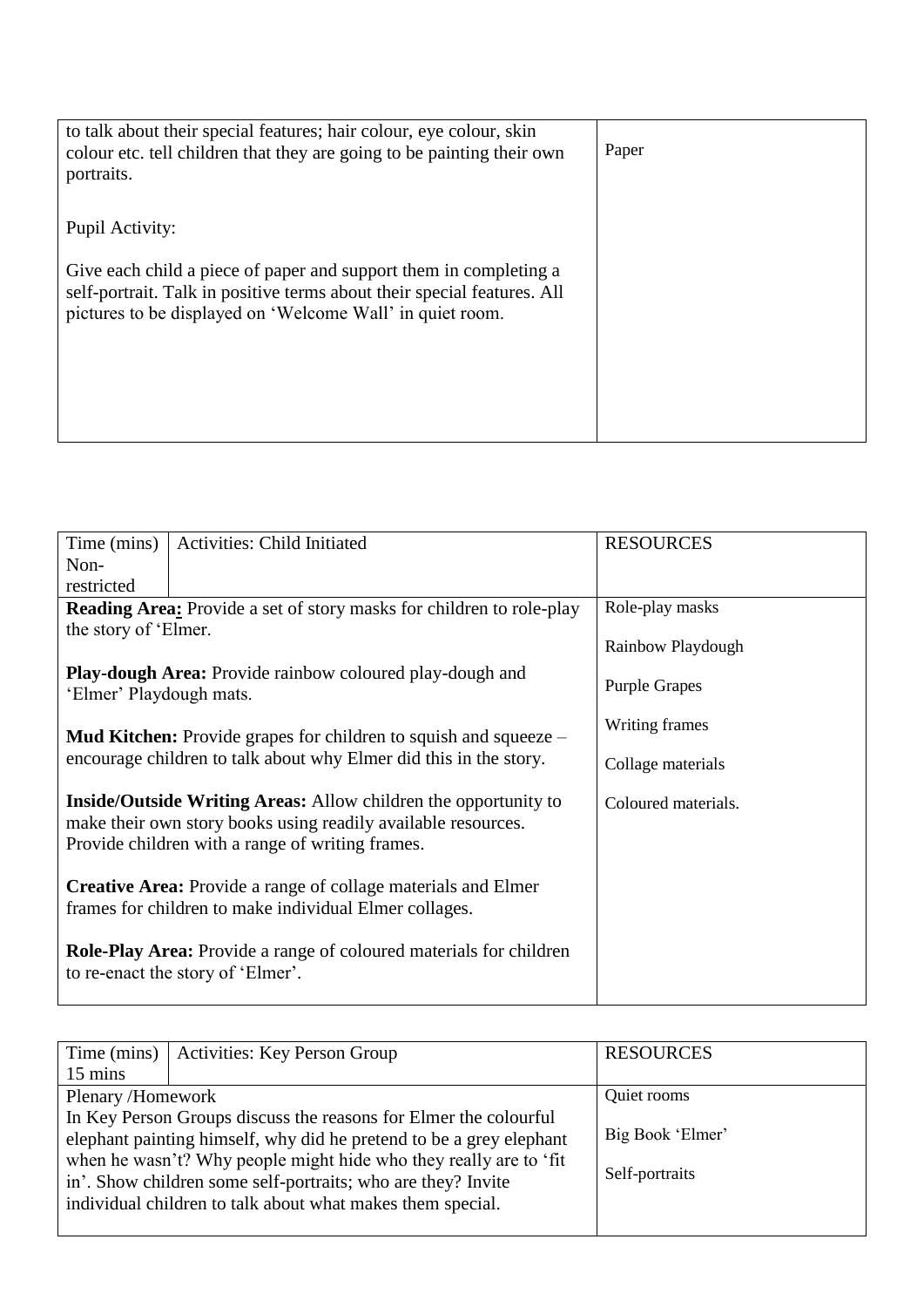| to talk about their special features; hair colour, eye colour, skin<br>colour etc. tell children that they are going to be painting their own<br>portraits.                                               | Paper |
|-----------------------------------------------------------------------------------------------------------------------------------------------------------------------------------------------------------|-------|
| Pupil Activity:                                                                                                                                                                                           |       |
| Give each child a piece of paper and support them in completing a<br>self-portrait. Talk in positive terms about their special features. All<br>pictures to be displayed on 'Welcome Wall' in quiet room. |       |

| Time (mins)                                                               | Activities: Child Initiated                                                 | <b>RESOURCES</b>     |  |
|---------------------------------------------------------------------------|-----------------------------------------------------------------------------|----------------------|--|
| Non-                                                                      |                                                                             |                      |  |
| restricted                                                                |                                                                             |                      |  |
|                                                                           |                                                                             |                      |  |
|                                                                           | <b>Reading Area:</b> Provide a set of story masks for children to role-play | Role-play masks      |  |
| the story of 'Elmer.                                                      |                                                                             |                      |  |
|                                                                           |                                                                             | Rainbow Playdough    |  |
|                                                                           | <b>Play-dough Area:</b> Provide rainbow coloured play-dough and             |                      |  |
|                                                                           |                                                                             | <b>Purple Grapes</b> |  |
| 'Elmer' Playdough mats.                                                   |                                                                             |                      |  |
|                                                                           |                                                                             | Writing frames       |  |
|                                                                           | <b>Mud Kitchen:</b> Provide grapes for children to squish and squeeze $-$   |                      |  |
|                                                                           | encourage children to talk about why Elmer did this in the story.           | Collage materials    |  |
|                                                                           |                                                                             |                      |  |
|                                                                           |                                                                             |                      |  |
|                                                                           | <b>Inside/Outside Writing Areas:</b> Allow children the opportunity to      | Coloured materials.  |  |
| make their own story books using readily available resources.             |                                                                             |                      |  |
| Provide children with a range of writing frames.                          |                                                                             |                      |  |
|                                                                           |                                                                             |                      |  |
| <b>Creative Area:</b> Provide a range of collage materials and Elmer      |                                                                             |                      |  |
|                                                                           |                                                                             |                      |  |
| frames for children to make individual Elmer collages.                    |                                                                             |                      |  |
|                                                                           |                                                                             |                      |  |
| <b>Role-Play Area:</b> Provide a range of coloured materials for children |                                                                             |                      |  |
| to re-enact the story of 'Elmer'.                                         |                                                                             |                      |  |
|                                                                           |                                                                             |                      |  |
|                                                                           |                                                                             |                      |  |

| Time (mins)                                                                                                                                                                                                                                                                  | <b>Activities: Key Person Group</b> | <b>RESOURCES</b>                   |
|------------------------------------------------------------------------------------------------------------------------------------------------------------------------------------------------------------------------------------------------------------------------------|-------------------------------------|------------------------------------|
| 15 mins                                                                                                                                                                                                                                                                      |                                     |                                    |
| Plenary/Homework                                                                                                                                                                                                                                                             |                                     | Quiet rooms                        |
| In Key Person Groups discuss the reasons for Elmer the colourful<br>elephant painting himself, why did he pretend to be a grey elephant<br>when he wasn't? Why people might hide who they really are to 'fit<br>in'. Show children some self-portraits; who are they? Invite |                                     | Big Book 'Elmer'<br>Self-portraits |
| individual children to talk about what makes them special.                                                                                                                                                                                                                   |                                     |                                    |